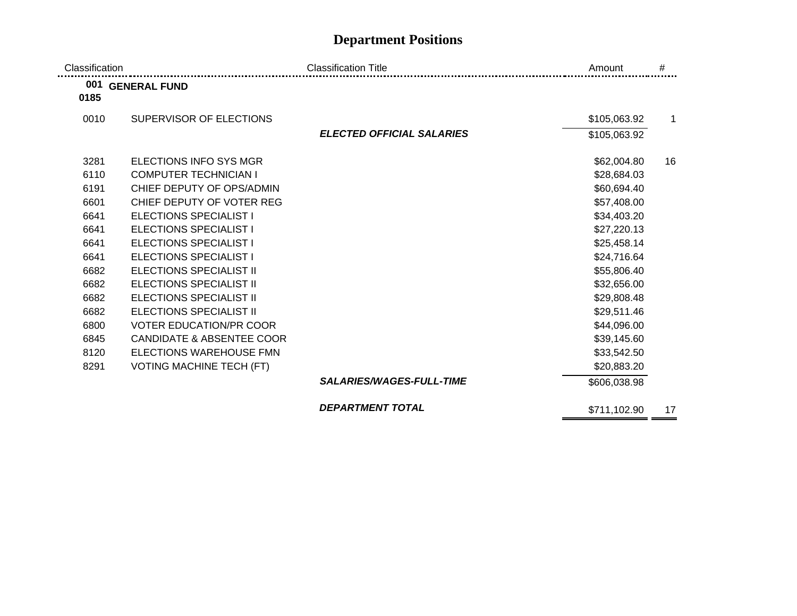## **Department Positions**

| Classification |                                      | <b>Classification Title</b>      | Amount       | #            |
|----------------|--------------------------------------|----------------------------------|--------------|--------------|
| 0185           | 001 GENERAL FUND                     |                                  |              |              |
| 0010           | SUPERVISOR OF ELECTIONS              |                                  | \$105,063.92 | $\mathbf{1}$ |
|                |                                      | <b>ELECTED OFFICIAL SALARIES</b> | \$105,063.92 |              |
| 3281           | ELECTIONS INFO SYS MGR               |                                  | \$62,004.80  | 16           |
| 6110           | <b>COMPUTER TECHNICIAN I</b>         |                                  | \$28,684.03  |              |
| 6191           | CHIEF DEPUTY OF OPS/ADMIN            |                                  | \$60,694.40  |              |
| 6601           | CHIEF DEPUTY OF VOTER REG            |                                  | \$57,408.00  |              |
| 6641           | <b>ELECTIONS SPECIALIST I</b>        |                                  | \$34,403.20  |              |
| 6641           | <b>ELECTIONS SPECIALIST I</b>        |                                  | \$27,220.13  |              |
| 6641           | ELECTIONS SPECIALIST I               |                                  | \$25,458.14  |              |
| 6641           | <b>ELECTIONS SPECIALIST I</b>        |                                  | \$24,716.64  |              |
| 6682           | <b>ELECTIONS SPECIALIST II</b>       |                                  | \$55,806.40  |              |
| 6682           | <b>ELECTIONS SPECIALIST II</b>       |                                  | \$32,656.00  |              |
| 6682           | ELECTIONS SPECIALIST II              |                                  | \$29,808.48  |              |
| 6682           | <b>ELECTIONS SPECIALIST II</b>       |                                  | \$29,511.46  |              |
| 6800           | <b>VOTER EDUCATION/PR COOR</b>       |                                  | \$44,096.00  |              |
| 6845           | <b>CANDIDATE &amp; ABSENTEE COOR</b> |                                  | \$39,145.60  |              |
| 8120           | ELECTIONS WAREHOUSE FMN              |                                  | \$33,542.50  |              |
| 8291           | <b>VOTING MACHINE TECH (FT)</b>      |                                  | \$20,883.20  |              |
|                |                                      | <b>SALARIES/WAGES-FULL-TIME</b>  | \$606,038.98 |              |
|                |                                      | <b>DEPARTMENT TOTAL</b>          | \$711,102.90 | 17           |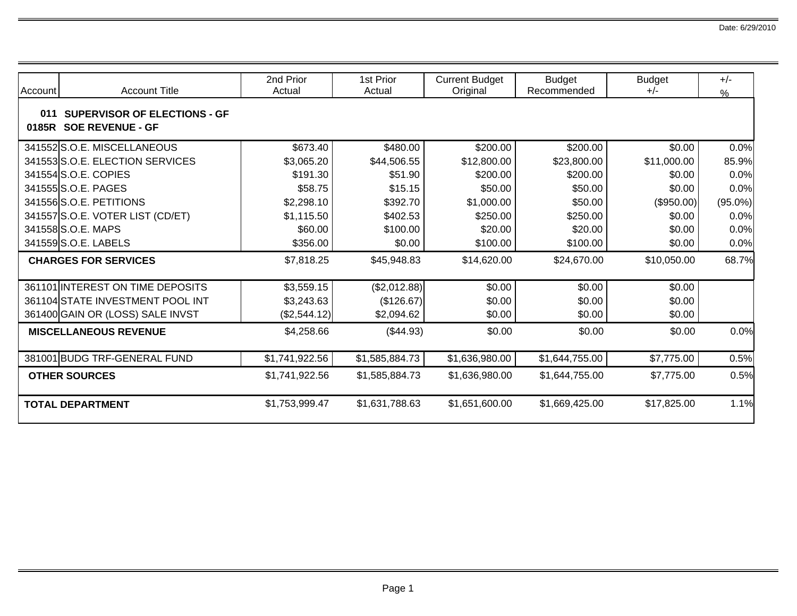| Account      | <b>Account Title</b>                                           | 2nd Prior<br>Actual | 1st Prior<br>Actual | <b>Current Budget</b><br>Original | <b>Budget</b><br>Recommended | <b>Budget</b><br>$+/-$ | $+/-$<br>$\frac{9}{6}$ |
|--------------|----------------------------------------------------------------|---------------------|---------------------|-----------------------------------|------------------------------|------------------------|------------------------|
| 011<br>0185R | <b>SUPERVISOR OF ELECTIONS - GF</b><br><b>SOE REVENUE - GF</b> |                     |                     |                                   |                              |                        |                        |
|              | 341552S.O.E. MISCELLANEOUS                                     | \$673.40            | \$480.00            | \$200.00                          | \$200.00                     | \$0.00                 | 0.0%                   |
|              | 341553 S.O.E. ELECTION SERVICES                                | \$3,065.20          | \$44,506.55         | \$12,800.00                       | \$23,800.00                  | \$11,000.00            | 85.9%                  |
|              | 341554 S.O.E. COPIES                                           | \$191.30            | \$51.90             | \$200.00                          | \$200.00                     | \$0.00                 | 0.0%                   |
|              | 341555 S.O.E. PAGES                                            | \$58.75             | \$15.15             | \$50.00                           | \$50.00                      | \$0.00                 | 0.0%                   |
|              | 341556 S.O.E. PETITIONS                                        | \$2,298.10          | \$392.70            | \$1,000.00                        | \$50.00                      | $(\$950.00)$           | $(95.0\%)$             |
|              | 341557 S.O.E. VOTER LIST (CD/ET)                               | \$1,115.50          | \$402.53            | \$250.00                          | \$250.00                     | \$0.00                 | 0.0%                   |
|              | 341558 S.O.E. MAPS                                             | \$60.00             | \$100.00            | \$20.00                           | \$20.00                      | \$0.00                 | 0.0%                   |
|              | 341559 S.O.E. LABELS                                           | \$356.00            | \$0.00              | \$100.00                          | \$100.00                     | \$0.00                 | 0.0%                   |
|              | <b>CHARGES FOR SERVICES</b>                                    | \$7,818.25          | \$45,948.83         | \$14,620.00                       | \$24,670.00                  | \$10,050.00            | 68.7%                  |
|              | 361101 INTEREST ON TIME DEPOSITS                               | \$3,559.15          | (\$2,012.88)        | \$0.00                            | \$0.00                       | \$0.00                 |                        |
|              | 361104 STATE INVESTMENT POOL INT                               | \$3,243.63          | (\$126.67)          | \$0.00                            | \$0.00                       | \$0.00                 |                        |
|              | 361400 GAIN OR (LOSS) SALE INVST                               | (\$2,544.12)        | \$2,094.62          | \$0.00                            | \$0.00                       | \$0.00                 |                        |
|              | <b>MISCELLANEOUS REVENUE</b>                                   | \$4,258.66          | (\$44.93)           | \$0.00                            | \$0.00                       | \$0.00                 | 0.0%                   |
|              | 381001 BUDG TRF-GENERAL FUND                                   | \$1,741,922.56      | \$1,585,884.73      | \$1,636,980.00                    | \$1,644,755.00               | \$7,775.00             | 0.5%                   |
|              | <b>OTHER SOURCES</b>                                           | \$1,741,922.56      | \$1,585,884.73      | \$1,636,980.00                    | \$1,644,755.00               | \$7,775.00             | 0.5%                   |
|              | <b>TOTAL DEPARTMENT</b>                                        | \$1,753,999.47      | \$1,631,788.63      | \$1,651,600.00                    | \$1,669,425.00               | \$17,825.00            | 1.1%                   |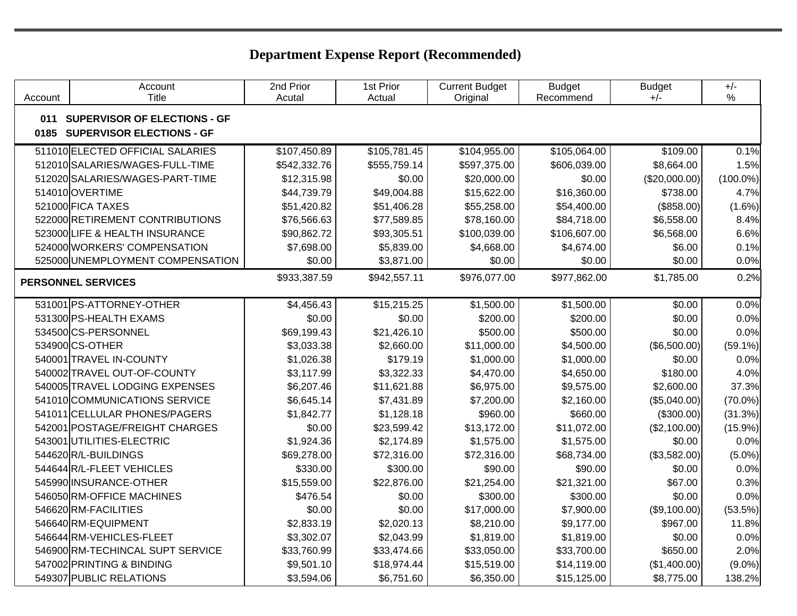| Account | Account<br>Title                 | 2nd Prior<br>Acutal | 1st Prior<br>Actual | <b>Current Budget</b><br>Original | <b>Budget</b><br>Recommend | <b>Budget</b><br>$+/-$ | $+/-$<br>$\%$ |
|---------|----------------------------------|---------------------|---------------------|-----------------------------------|----------------------------|------------------------|---------------|
|         | 011 SUPERVISOR OF ELECTIONS - GF |                     |                     |                                   |                            |                        |               |
| 0185    | <b>SUPERVISOR ELECTIONS - GF</b> |                     |                     |                                   |                            |                        |               |
|         | 511010 ELECTED OFFICIAL SALARIES | \$107,450.89        | \$105,781.45        | \$104,955.00                      | \$105,064.00               | \$109.00               | 0.1%          |
|         | 512010 SALARIES/WAGES-FULL-TIME  | \$542,332.76        | \$555,759.14        | \$597,375.00                      | \$606,039.00               | \$8,664.00             | 1.5%          |
|         | 512020 SALARIES/WAGES-PART-TIME  | \$12,315.98         | \$0.00              | \$20,000.00                       | \$0.00                     | (\$20,000.00)          | $(100.0\%)$   |
|         | 514010OVERTIME                   | \$44,739.79         | \$49,004.88         | \$15,622.00                       | \$16,360.00                | \$738.00               | 4.7%          |
|         | 521000 FICA TAXES                | \$51,420.82         | \$51,406.28         | \$55,258.00                       | \$54,400.00                | (\$858.00)             | $(1.6\%)$     |
|         | 522000 RETIREMENT CONTRIBUTIONS  | \$76,566.63         | \$77,589.85         | \$78,160.00                       | \$84,718.00                | \$6,558.00             | 8.4%          |
|         | 523000 LIFE & HEALTH INSURANCE   | \$90,862.72         | \$93,305.51         | \$100,039.00                      | \$106,607.00               | \$6,568.00             | 6.6%          |
|         | 524000 WORKERS' COMPENSATION     | \$7,698.00          | \$5,839.00          | \$4,668.00                        | \$4,674.00                 | \$6.00                 | 0.1%          |
|         | 525000 UNEMPLOYMENT COMPENSATION | \$0.00              | \$3,871.00          | \$0.00                            | \$0.00                     | \$0.00                 | 0.0%          |
|         | <b>PERSONNEL SERVICES</b>        | \$933,387.59        | \$942,557.11        | \$976,077.00                      | \$977,862.00               | \$1,785.00             | 0.2%          |
|         |                                  |                     |                     |                                   |                            |                        |               |
|         | 531001 PS-ATTORNEY-OTHER         | \$4,456.43          | \$15,215.25         | \$1,500.00                        | \$1,500.00                 | \$0.00                 | 0.0%          |
|         | 531300 PS-HEALTH EXAMS           | \$0.00              | \$0.00              | \$200.00                          | \$200.00                   | \$0.00                 | 0.0%          |
|         | 534500 CS-PERSONNEL              | \$69,199.43         | \$21,426.10         | \$500.00                          | \$500.00                   | \$0.00                 | 0.0%          |
|         | 534900 CS-OTHER                  | \$3,033.38          | \$2,660.00          | \$11,000.00                       | \$4,500.00                 | (\$6,500.00)           | $(59.1\%)$    |
|         | 540001 TRAVEL IN-COUNTY          | \$1,026.38          | \$179.19            | \$1,000.00                        | \$1,000.00                 | \$0.00                 | 0.0%          |
|         | 540002 TRAVEL OUT-OF-COUNTY      | \$3,117.99          | \$3,322.33          | \$4,470.00                        | \$4,650.00                 | \$180.00               | 4.0%          |
|         | 540005 TRAVEL LODGING EXPENSES   | \$6,207.46          | \$11,621.88         | \$6,975.00                        | \$9,575.00                 | \$2,600.00             | 37.3%         |
|         | 541010 COMMUNICATIONS SERVICE    | \$6,645.14          | \$7,431.89          | \$7,200.00                        | \$2,160.00                 | (\$5,040.00)           | $(70.0\%)$    |
|         | 541011 CELLULAR PHONES/PAGERS    | \$1,842.77          | \$1,128.18          | \$960.00                          | \$660.00                   | (\$300.00)             | (31.3%)       |
|         | 542001 POSTAGE/FREIGHT CHARGES   | \$0.00              | \$23,599.42         | \$13,172.00                       | \$11,072.00                | (\$2,100.00)           | $(15.9\%)$    |
|         | 543001 UTILITIES-ELECTRIC        | \$1,924.36          | \$2,174.89          | \$1,575.00                        | \$1,575.00                 | \$0.00                 | 0.0%          |
|         | 544620R/L-BUILDINGS              | \$69,278.00         | \$72,316.00         | \$72,316.00                       | \$68,734.00                | (\$3,582.00)           | $(5.0\%)$     |
|         | 544644 R/L-FLEET VEHICLES        | \$330.00            | \$300.00            | \$90.00                           | \$90.00                    | \$0.00                 | 0.0%          |
|         | 545990 INSURANCE-OTHER           | \$15,559.00         | \$22,876.00         | \$21,254.00                       | \$21,321.00                | \$67.00                | 0.3%          |
|         | 546050 RM-OFFICE MACHINES        | \$476.54            | \$0.00              | \$300.00                          | \$300.00                   | \$0.00                 | 0.0%          |
|         | 546620RM-FACILITIES              | \$0.00              | \$0.00              | \$17,000.00                       | \$7,900.00                 | (\$9,100.00)           | (53.5%)       |
|         | 546640RM-EQUIPMENT               | \$2,833.19          | \$2,020.13          | \$8,210.00                        | \$9,177.00                 | \$967.00               | 11.8%         |
|         | 546644 RM-VEHICLES-FLEET         | \$3,302.07          | \$2,043.99          | \$1,819.00                        | \$1,819.00                 | \$0.00                 | 0.0%          |
|         | 546900 RM-TECHINCAL SUPT SERVICE | \$33,760.99         | \$33,474.66         | \$33,050.00                       | \$33,700.00                | \$650.00               | 2.0%          |
|         | 547002 PRINTING & BINDING        | \$9,501.10          | \$18,974.44         | \$15,519.00                       | \$14,119.00                | (\$1,400.00)           | $(9.0\%)$     |
|         | 549307 PUBLIC RELATIONS          | \$3,594.06          | \$6,751.60          | \$6,350.00                        | \$15,125.00                | \$8,775.00             | 138.2%        |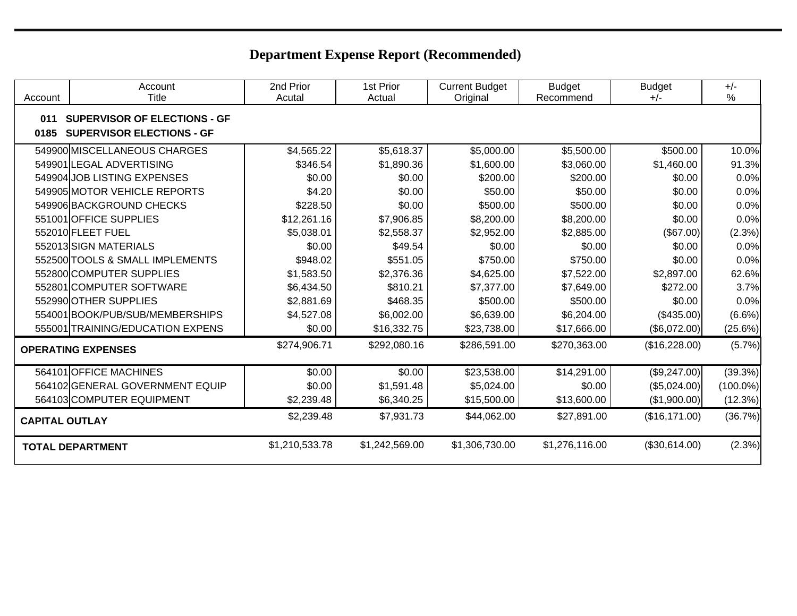| Account               | Account<br>Title                                                        | 2nd Prior<br>Acutal | 1st Prior<br>Actual | <b>Current Budget</b><br>Original | <b>Budget</b><br>Recommend | <b>Budget</b><br>$+/-$ | $+/-$<br>$\frac{0}{0}$ |  |
|-----------------------|-------------------------------------------------------------------------|---------------------|---------------------|-----------------------------------|----------------------------|------------------------|------------------------|--|
| 011<br>0185           | <b>SUPERVISOR OF ELECTIONS - GF</b><br><b>SUPERVISOR ELECTIONS - GF</b> |                     |                     |                                   |                            |                        |                        |  |
|                       | 549900 MISCELLANEOUS CHARGES                                            | \$4,565.22          | \$5,618.37          | \$5,000.00                        | \$5,500.00                 | \$500.00               | 10.0%                  |  |
|                       | 549901 LEGAL ADVERTISING                                                | \$346.54            | \$1,890.36          | \$1,600.00                        | \$3,060.00                 | \$1,460.00             | 91.3%                  |  |
|                       | 549904 JOB LISTING EXPENSES                                             | \$0.00              | \$0.00              | \$200.00                          | \$200.00                   | \$0.00                 | 0.0%                   |  |
|                       | 549905 MOTOR VEHICLE REPORTS                                            | \$4.20              | \$0.00              | \$50.00                           | \$50.00                    | \$0.00                 | 0.0%                   |  |
|                       | 549906 BACKGROUND CHECKS                                                | \$228.50            | \$0.00              | \$500.00                          | \$500.00                   | \$0.00                 | 0.0%                   |  |
|                       | 551001 OFFICE SUPPLIES                                                  | \$12,261.16         | \$7,906.85          | \$8,200.00                        | \$8,200.00                 | \$0.00                 | 0.0%                   |  |
|                       | 552010 FLEET FUEL                                                       | \$5,038.01          | \$2,558.37          | \$2,952.00                        | \$2,885.00                 | (\$67.00)              | (2.3%)                 |  |
|                       | 552013 SIGN MATERIALS                                                   | \$0.00              | \$49.54             | \$0.00                            | \$0.00                     | \$0.00                 | 0.0%                   |  |
|                       | 552500 TOOLS & SMALL IMPLEMENTS                                         | \$948.02            | \$551.05            | \$750.00                          | \$750.00                   | \$0.00                 | 0.0%                   |  |
|                       | 552800 COMPUTER SUPPLIES                                                | \$1,583.50          | \$2,376.36          | \$4,625.00                        | \$7,522.00                 | \$2,897.00             | 62.6%                  |  |
|                       | 552801 COMPUTER SOFTWARE                                                | \$6,434.50          | \$810.21            | \$7,377.00                        | \$7,649.00                 | \$272.00               | 3.7%                   |  |
|                       | 552990 OTHER SUPPLIES                                                   | \$2,881.69          | \$468.35            | \$500.00                          | \$500.00                   | \$0.00                 | 0.0%                   |  |
|                       | 554001 BOOK/PUB/SUB/MEMBERSHIPS                                         | \$4,527.08          | \$6,002.00          | \$6,639.00                        | \$6,204.00                 | (\$435.00)             | (6.6%)                 |  |
|                       | 555001 TRAINING/EDUCATION EXPENS                                        | \$0.00              | \$16,332.75         | \$23,738.00                       | \$17,666.00                | (\$6,072.00)           | (25.6%)                |  |
|                       | <b>OPERATING EXPENSES</b>                                               | \$274,906.71        | \$292,080.16        | \$286,591.00                      | \$270,363.00               | (\$16,228.00)          | (5.7%)                 |  |
|                       | 564101 OFFICE MACHINES                                                  | \$0.00              | \$0.00              | \$23,538.00                       | \$14,291.00                | (\$9,247.00)           | (39.3%)                |  |
|                       | 564102 GENERAL GOVERNMENT EQUIP                                         | \$0.00              | \$1,591.48          | \$5,024.00                        | \$0.00                     | (\$5,024.00)           | $(100.0\%)$            |  |
|                       | 564103 COMPUTER EQUIPMENT                                               | \$2,239.48          | \$6,340.25          | \$15,500.00                       | \$13,600.00                | (\$1,900.00)           | (12.3%)                |  |
| <b>CAPITAL OUTLAY</b> |                                                                         | \$2,239.48          | \$7,931.73          | \$44,062.00                       | \$27,891.00                | (\$16,171.00)          | (36.7%)                |  |
|                       | <b>TOTAL DEPARTMENT</b>                                                 | \$1,210,533.78      | \$1,242,569.00      | \$1,306,730.00                    | \$1,276,116.00             | (\$30,614.00)          | (2.3%)                 |  |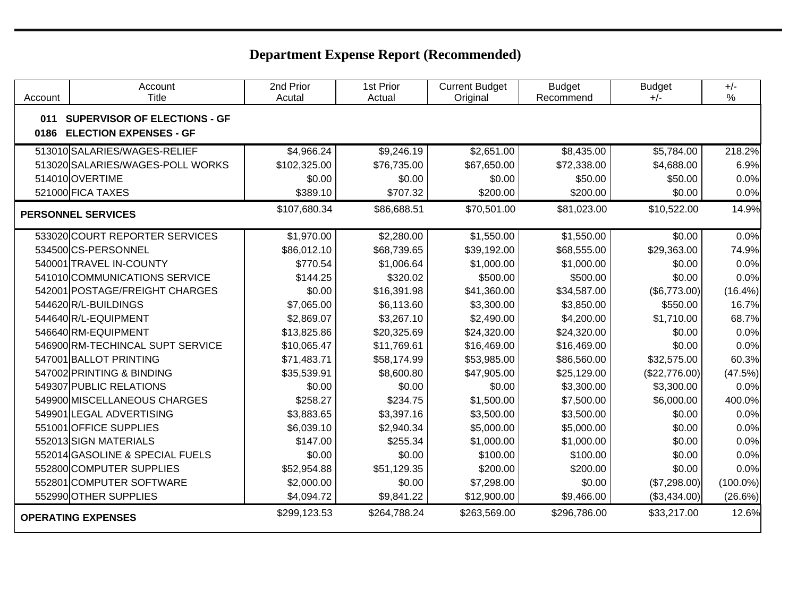| Account     | Account<br><b>Title</b>                                              | 2nd Prior<br>Acutal | 1st Prior<br>Actual | <b>Current Budget</b><br>Original | <b>Budget</b><br>Recommend | <b>Budget</b><br>$+/-$ | $+/-$<br>$\%$ |
|-------------|----------------------------------------------------------------------|---------------------|---------------------|-----------------------------------|----------------------------|------------------------|---------------|
| 011<br>0186 | <b>SUPERVISOR OF ELECTIONS - GF</b><br><b>ELECTION EXPENSES - GF</b> |                     |                     |                                   |                            |                        |               |
|             | 513010 SALARIES/WAGES-RELIEF                                         | \$4,966.24          | \$9,246.19          | \$2,651.00                        | \$8,435.00                 | \$5,784.00             | 218.2%        |
|             | 513020 SALARIES/WAGES-POLL WORKS                                     | \$102,325.00        | \$76,735.00         | \$67,650.00                       | \$72,338.00                | \$4,688.00             | 6.9%          |
|             | 514010 OVERTIME                                                      | \$0.00              | \$0.00              | \$0.00                            | \$50.00                    | \$50.00                | 0.0%          |
|             | 521000 FICA TAXES                                                    | \$389.10            | \$707.32            | \$200.00                          | \$200.00                   | \$0.00                 | 0.0%          |
|             | <b>PERSONNEL SERVICES</b>                                            | \$107,680.34        | \$86,688.51         | \$70,501.00                       | \$81,023.00                | \$10,522.00            | 14.9%         |
|             | 533020 COURT REPORTER SERVICES                                       | \$1,970.00          | \$2,280.00          | \$1,550.00                        | \$1,550.00                 | \$0.00                 | 0.0%          |
|             | 534500CS-PERSONNEL                                                   | \$86,012.10         | \$68,739.65         | \$39,192.00                       | \$68,555.00                | \$29,363.00            | 74.9%         |
|             | 540001 TRAVEL IN-COUNTY                                              | \$770.54            | \$1,006.64          | \$1,000.00                        | \$1,000.00                 | \$0.00                 | 0.0%          |
|             | 541010 COMMUNICATIONS SERVICE                                        | \$144.25            | \$320.02            | \$500.00                          | \$500.00                   | \$0.00                 | 0.0%          |
|             | 542001 POSTAGE/FREIGHT CHARGES                                       | \$0.00              | \$16,391.98         | \$41,360.00                       | \$34,587.00                | (\$6,773.00)           | $(16.4\%)$    |
|             | 544620 R/L-BUILDINGS                                                 | \$7,065.00          | \$6,113.60          | \$3,300.00                        | \$3,850.00                 | \$550.00               | 16.7%         |
|             | 544640R/L-EQUIPMENT                                                  | \$2,869.07          | \$3,267.10          | \$2,490.00                        | \$4,200.00                 | \$1,710.00             | 68.7%         |
|             | 546640RM-EQUIPMENT                                                   | \$13,825.86         | \$20,325.69         | \$24,320.00                       | \$24,320.00                | \$0.00                 | 0.0%          |
|             | 546900 RM-TECHINCAL SUPT SERVICE                                     | \$10,065.47         | \$11,769.61         | \$16,469.00                       | \$16,469.00                | \$0.00                 | 0.0%          |
|             | 547001 BALLOT PRINTING                                               | \$71,483.71         | \$58,174.99         | \$53,985.00                       | \$86,560.00                | \$32,575.00            | 60.3%         |
|             | 547002 PRINTING & BINDING                                            | \$35,539.91         | \$8,600.80          | \$47,905.00                       | \$25,129.00                | (\$22,776.00)          | (47.5%)       |
|             | 549307 PUBLIC RELATIONS                                              | \$0.00              | \$0.00              | \$0.00                            | \$3,300.00                 | \$3,300.00             | 0.0%          |
|             | 549900 MISCELLANEOUS CHARGES                                         | \$258.27            | \$234.75            | \$1,500.00                        | \$7,500.00                 | \$6,000.00             | 400.0%        |
|             | 549901 LEGAL ADVERTISING                                             | \$3,883.65          | \$3,397.16          | \$3,500.00                        | \$3,500.00                 | \$0.00                 | 0.0%          |
|             | 551001 OFFICE SUPPLIES                                               | \$6,039.10          | \$2,940.34          | \$5,000.00                        | \$5,000.00                 | \$0.00                 | 0.0%          |
|             | 552013 SIGN MATERIALS                                                | \$147.00            | \$255.34            | \$1,000.00                        | \$1,000.00                 | \$0.00                 | 0.0%          |
|             | 552014 GASOLINE & SPECIAL FUELS                                      | \$0.00              | \$0.00              | \$100.00                          | \$100.00                   | \$0.00                 | 0.0%          |
|             | 552800 COMPUTER SUPPLIES                                             | \$52,954.88         | \$51,129.35         | \$200.00                          | \$200.00                   | \$0.00                 | 0.0%          |
|             | 552801 COMPUTER SOFTWARE                                             | \$2,000.00          | \$0.00              | \$7,298.00                        | \$0.00                     | (\$7,298.00)           | $(100.0\%)$   |
|             | 552990 OTHER SUPPLIES                                                | \$4,094.72          | \$9,841.22          | \$12,900.00                       | \$9,466.00                 | (\$3,434.00)           | (26.6%)       |
|             | <b>OPERATING EXPENSES</b>                                            | \$299,123.53        | \$264,788.24        | \$263,569.00                      | \$296,786.00               | \$33,217.00            | 12.6%         |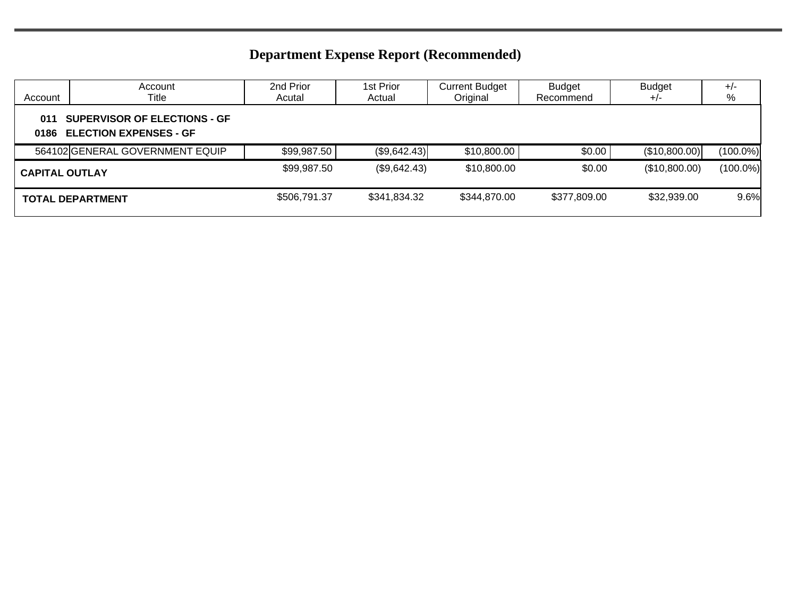| Account               | Account<br>Title                                                     | 2nd Prior<br>Acutal | 1st Prior<br>Actual | <b>Current Budget</b><br>Original | <b>Budget</b><br>Recommend | <b>Budget</b><br>$+/-$ | $+/-$<br>%  |
|-----------------------|----------------------------------------------------------------------|---------------------|---------------------|-----------------------------------|----------------------------|------------------------|-------------|
| 011<br>0186           | <b>SUPERVISOR OF ELECTIONS - GF</b><br><b>ELECTION EXPENSES - GF</b> |                     |                     |                                   |                            |                        |             |
|                       | 564102 GENERAL GOVERNMENT EQUIP                                      | \$99,987.50         | (\$9,642.43)        | \$10,800.00                       | \$0.00                     | (\$10,800.00)          | $(100.0\%)$ |
| <b>CAPITAL OUTLAY</b> |                                                                      | \$99,987.50         | (\$9,642.43)        | \$10,800.00                       | \$0.00                     | (\$10,800.00)          | $(100.0\%)$ |
|                       | <b>TOTAL DEPARTMENT</b>                                              | \$506,791.37        | \$341,834.32        | \$344,870.00                      | \$377,809.00               | \$32,939.00            | 9.6%        |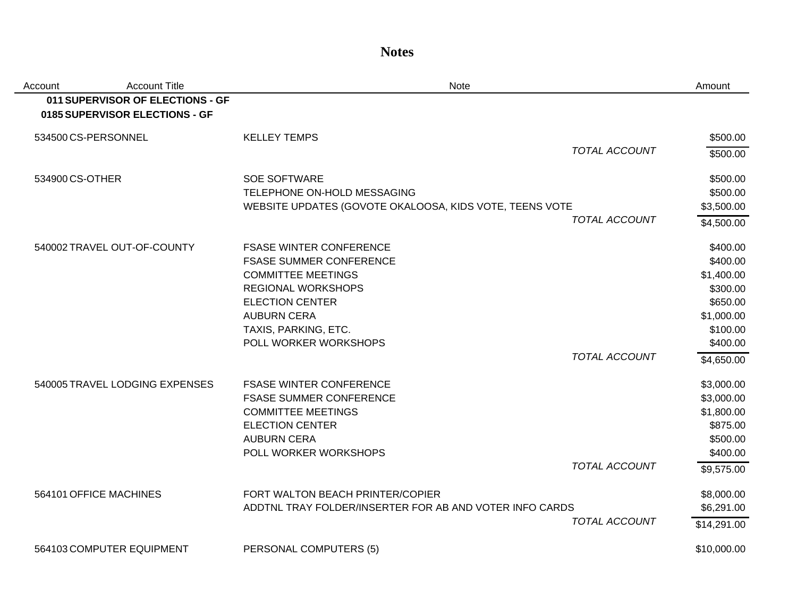**Notes**

| Account         | <b>Account Title</b>                                               | Note                                                    |                      | Amount      |
|-----------------|--------------------------------------------------------------------|---------------------------------------------------------|----------------------|-------------|
|                 | 011 SUPERVISOR OF ELECTIONS - GF<br>0185 SUPERVISOR ELECTIONS - GF |                                                         |                      |             |
|                 | 534500 CS-PERSONNEL                                                | <b>KELLEY TEMPS</b>                                     |                      | \$500.00    |
|                 |                                                                    |                                                         | <b>TOTAL ACCOUNT</b> | \$500.00    |
| 534900 CS-OTHER |                                                                    | <b>SOE SOFTWARE</b>                                     |                      | \$500.00    |
|                 |                                                                    | TELEPHONE ON-HOLD MESSAGING                             |                      | \$500.00    |
|                 |                                                                    | WEBSITE UPDATES (GOVOTE OKALOOSA, KIDS VOTE, TEENS VOTE |                      | \$3,500.00  |
|                 |                                                                    |                                                         | <b>TOTAL ACCOUNT</b> | \$4,500.00  |
|                 | 540002 TRAVEL OUT-OF-COUNTY                                        | <b>FSASE WINTER CONFERENCE</b>                          |                      | \$400.00    |
|                 |                                                                    | <b>FSASE SUMMER CONFERENCE</b>                          |                      | \$400.00    |
|                 |                                                                    | <b>COMMITTEE MEETINGS</b>                               |                      | \$1,400.00  |
|                 |                                                                    | <b>REGIONAL WORKSHOPS</b>                               |                      | \$300.00    |
|                 |                                                                    | <b>ELECTION CENTER</b>                                  |                      | \$650.00    |
|                 |                                                                    | <b>AUBURN CERA</b>                                      |                      | \$1,000.00  |
|                 |                                                                    | TAXIS, PARKING, ETC.                                    |                      | \$100.00    |
|                 |                                                                    | POLL WORKER WORKSHOPS                                   |                      | \$400.00    |
|                 |                                                                    |                                                         | <b>TOTAL ACCOUNT</b> | \$4,650.00  |
|                 | 540005 TRAVEL LODGING EXPENSES                                     | <b>FSASE WINTER CONFERENCE</b>                          |                      | \$3,000.00  |
|                 |                                                                    | <b>FSASE SUMMER CONFERENCE</b>                          |                      | \$3,000.00  |
|                 |                                                                    | <b>COMMITTEE MEETINGS</b>                               |                      | \$1,800.00  |
|                 |                                                                    | <b>ELECTION CENTER</b>                                  |                      | \$875.00    |
|                 |                                                                    | <b>AUBURN CERA</b>                                      |                      | \$500.00    |
|                 |                                                                    | POLL WORKER WORKSHOPS                                   |                      | \$400.00    |
|                 |                                                                    |                                                         | TOTAL ACCOUNT        | \$9,575.00  |
|                 | 564101 OFFICE MACHINES                                             | FORT WALTON BEACH PRINTER/COPIER                        |                      | \$8,000.00  |
|                 |                                                                    | ADDTNL TRAY FOLDER/INSERTER FOR AB AND VOTER INFO CARDS |                      | \$6,291.00  |
|                 |                                                                    |                                                         | TOTAL ACCOUNT        | \$14,291.00 |
|                 | 564103 COMPUTER EQUIPMENT                                          | PERSONAL COMPUTERS (5)                                  |                      | \$10,000.00 |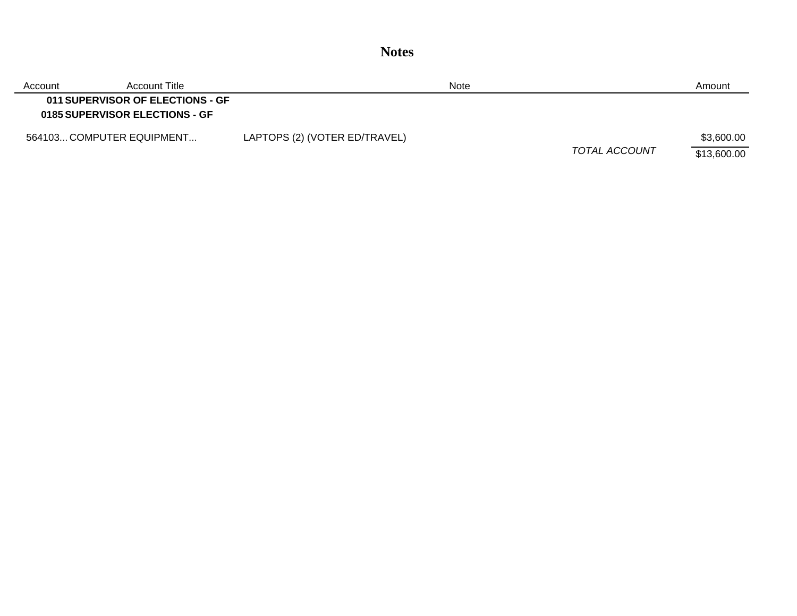| Account | Account Title                                                      |                               | Note |               | Amount      |
|---------|--------------------------------------------------------------------|-------------------------------|------|---------------|-------------|
|         | 011 SUPERVISOR OF ELECTIONS - GF<br>0185 SUPERVISOR ELECTIONS - GF |                               |      |               |             |
|         | 564103 COMPUTER EQUIPMENT                                          | LAPTOPS (2) (VOTER ED/TRAVEL) |      |               | \$3,600.00  |
|         |                                                                    |                               |      | TOTAL ACCOUNT | \$13,600.00 |

**Notes**